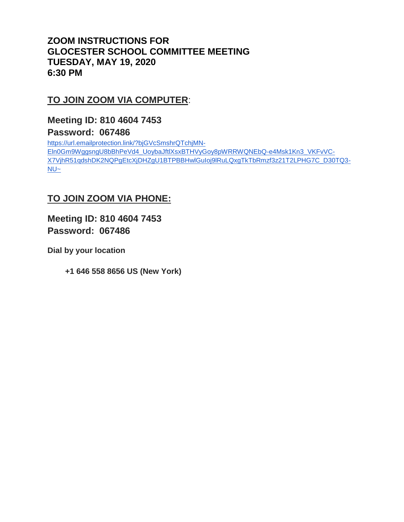## **ZOOM INSTRUCTIONS FOR GLOCESTER SCHOOL COMMITTEE MEETING TUESDAY, MAY 19, 2020 6:30 PM**

# **TO JOIN ZOOM VIA COMPUTER**:

**Meeting ID: 810 4604 7453**

### **Password: 067486**

[https://url.emailprotection.link/?bjGVcSmshrQTchjMN-](https://url.emailprotection.link/?bjGVcSmshrQTchjMN-Eln0Gm9WggsngU8bBhPeVd4_UoybaJftlXsxBTHVyGoy8pWRRWQNEbQ-e4Msk1Kn3_VKFvVC-X7VjhR51qdshDK2NQPgEtcXjDHZgU1BTPBBHwlGuIoj9lRuLQxgTkTbRmzf3z21T2LPHG7C_D30TQ3-NU~)[Eln0Gm9WggsngU8bBhPeVd4\\_UoybaJftlXsxBTHVyGoy8pWRRWQNEbQ-e4Msk1Kn3\\_VKFvVC-](https://url.emailprotection.link/?bjGVcSmshrQTchjMN-Eln0Gm9WggsngU8bBhPeVd4_UoybaJftlXsxBTHVyGoy8pWRRWQNEbQ-e4Msk1Kn3_VKFvVC-X7VjhR51qdshDK2NQPgEtcXjDHZgU1BTPBBHwlGuIoj9lRuLQxgTkTbRmzf3z21T2LPHG7C_D30TQ3-NU~)[X7VjhR51qdshDK2NQPgEtcXjDHZgU1BTPBBHwlGuIoj9lRuLQxgTkTbRmzf3z21T2LPHG7C\\_D30TQ3-](https://url.emailprotection.link/?bjGVcSmshrQTchjMN-Eln0Gm9WggsngU8bBhPeVd4_UoybaJftlXsxBTHVyGoy8pWRRWQNEbQ-e4Msk1Kn3_VKFvVC-X7VjhR51qdshDK2NQPgEtcXjDHZgU1BTPBBHwlGuIoj9lRuLQxgTkTbRmzf3z21T2LPHG7C_D30TQ3-NU~) [NU~](https://url.emailprotection.link/?bjGVcSmshrQTchjMN-Eln0Gm9WggsngU8bBhPeVd4_UoybaJftlXsxBTHVyGoy8pWRRWQNEbQ-e4Msk1Kn3_VKFvVC-X7VjhR51qdshDK2NQPgEtcXjDHZgU1BTPBBHwlGuIoj9lRuLQxgTkTbRmzf3z21T2LPHG7C_D30TQ3-NU~)

## **TO JOIN ZOOM VIA PHONE:**

**Meeting ID: 810 4604 7453 Password: 067486**

**Dial by your location**

 **+1 646 558 8656 US (New York)**